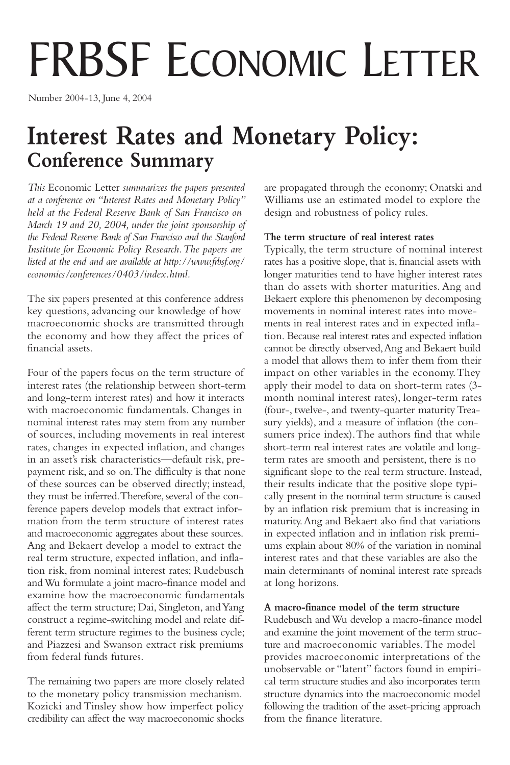# FRBSF ECONOMIC LETTER

Number 2004-13, June 4, 2004

# **Interest Rates and Monetary Policy: Conference Summary**

*This* Economic Letter *summarizes the papers presented at a conference on "Interest Rates and Monetary Policy" held at the Federal Reserve Bank of San Francisco on March 19 and 20, 2004, under the joint sponsorship of the Federal Reserve Bank of San Francisco and the Stanford Institute for Economic Policy Research.The papers are listed at the end and are available at [http://www.frbsf.org/](http://www.frbsf.org/economics/conferences/0403/index.html) [economics/conferences/0403/index.html.](http://www.frbsf.org/economics/conferences/0403/index.html)*

The six papers presented at this conference address key questions, advancing our knowledge of how macroeconomic shocks are transmitted through the economy and how they affect the prices of financial assets.

Four of the papers focus on the term structure of interest rates (the relationship between short-term and long-term interest rates) and how it interacts with macroeconomic fundamentals. Changes in nominal interest rates may stem from any number of sources, including movements in real interest rates, changes in expected inflation, and changes in an asset's risk characteristics—default risk, prepayment risk, and so on.The difficulty is that none of these sources can be observed directly; instead, they must be inferred.Therefore, several of the conference papers develop models that extract information from the term structure of interest rates and macroeconomic aggregates about these sources. Ang and Bekaert develop a model to extract the real term structure, expected inflation, and inflation risk, from nominal interest rates; Rudebusch and Wu formulate a joint macro-finance model and examine how the macroeconomic fundamentals affect the term structure; Dai, Singleton, and Yang construct a regime-switching model and relate different term structure regimes to the business cycle; and Piazzesi and Swanson extract risk premiums from federal funds futures.

The remaining two papers are more closely related to the monetary policy transmission mechanism. Kozicki and Tinsley show how imperfect policy credibility can affect the way macroeconomic shocks are propagated through the economy; Onatski and Williams use an estimated model to explore the design and robustness of policy rules.

# **The term structure of real interest rates**

Typically, the term structure of nominal interest rates has a positive slope, that is, financial assets with longer maturities tend to have higher interest rates than do assets with shorter maturities. Ang and Bekaert explore this phenomenon by decomposing movements in nominal interest rates into movements in real interest rates and in expected inflation. Because real interest rates and expected inflation cannot be directly observed,Ang and Bekaert build a model that allows them to infer them from their impact on other variables in the economy.They apply their model to data on short-term rates (3 month nominal interest rates), longer-term rates (four-, twelve-, and twenty-quarter maturity Treasury yields), and a measure of inflation (the consumers price index). The authors find that while short-term real interest rates are volatile and longterm rates are smooth and persistent, there is no significant slope to the real term structure. Instead, their results indicate that the positive slope typically present in the nominal term structure is caused by an inflation risk premium that is increasing in maturity.Ang and Bekaert also find that variations in expected inflation and in inflation risk premiums explain about 80% of the variation in nominal interest rates and that these variables are also the main determinants of nominal interest rate spreads at long horizons.

### **A macro-finance model of the term structure**

Rudebusch and Wu develop a macro-finance model and examine the joint movement of the term structure and macroeconomic variables.The model provides macroeconomic interpretations of the unobservable or "latent" factors found in empirical term structure studies and also incorporates term structure dynamics into the macroeconomic model following the tradition of the asset-pricing approach from the finance literature.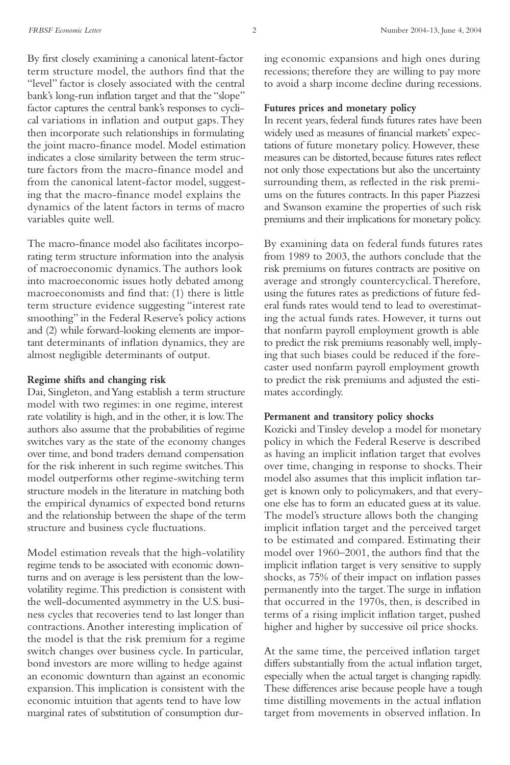By first closely examining a canonical latent-factor term structure model, the authors find that the "level" factor is closely associated with the central bank's long-run inflation target and that the "slope" factor captures the central bank's responses to cyclical variations in inflation and output gaps.They then incorporate such relationships in formulating the joint macro-finance model. Model estimation indicates a close similarity between the term structure factors from the macro-finance model and from the canonical latent-factor model, suggesting that the macro-finance model explains the dynamics of the latent factors in terms of macro variables quite well.

The macro-finance model also facilitates incorporating term structure information into the analysis of macroeconomic dynamics.The authors look into macroeconomic issues hotly debated among macroeconomists and find that: (1) there is little term structure evidence suggesting "interest rate smoothing" in the Federal Reserve's policy actions and (2) while forward-looking elements are important determinants of inflation dynamics, they are almost negligible determinants of output.

#### **Regime shifts and changing risk**

Dai, Singleton, and Yang establish a term structure model with two regimes: in one regime, interest rate volatility is high, and in the other, it is low.The authors also assume that the probabilities of regime switches vary as the state of the economy changes over time, and bond traders demand compensation for the risk inherent in such regime switches.This model outperforms other regime-switching term structure models in the literature in matching both the empirical dynamics of expected bond returns and the relationship between the shape of the term structure and business cycle fluctuations.

Model estimation reveals that the high-volatility regime tends to be associated with economic downturns and on average is less persistent than the lowvolatility regime.This prediction is consistent with the well-documented asymmetry in the U.S. business cycles that recoveries tend to last longer than contractions. Another interesting implication of the model is that the risk premium for a regime switch changes over business cycle. In particular, bond investors are more willing to hedge against an economic downturn than against an economic expansion.This implication is consistent with the economic intuition that agents tend to have low marginal rates of substitution of consumption during economic expansions and high ones during recessions; therefore they are willing to pay more to avoid a sharp income decline during recessions.

## **Futures prices and monetary policy**

In recent years, federal funds futures rates have been widely used as measures of financial markets' expectations of future monetary policy. However, these measures can be distorted, because futures rates reflect not only those expectations but also the uncertainty surrounding them, as reflected in the risk premiums on the futures contracts. In this paper Piazzesi and Swanson examine the properties of such risk premiums and their implications for monetary policy.

By examining data on federal funds futures rates from 1989 to 2003, the authors conclude that the risk premiums on futures contracts are positive on average and strongly countercyclical.Therefore, using the futures rates as predictions of future federal funds rates would tend to lead to overestimating the actual funds rates. However, it turns out that nonfarm payroll employment growth is able to predict the risk premiums reasonably well, implying that such biases could be reduced if the forecaster used nonfarm payroll employment growth to predict the risk premiums and adjusted the estimates accordingly.

#### **Permanent and transitory policy shocks**

Kozicki and Tinsley develop a model for monetary policy in which the Federal Reserve is described as having an implicit inflation target that evolves over time, changing in response to shocks.Their model also assumes that this implicit inflation target is known only to policymakers, and that everyone else has to form an educated guess at its value. The model's structure allows both the changing implicit inflation target and the perceived target to be estimated and compared. Estimating their model over 1960–2001, the authors find that the implicit inflation target is very sensitive to supply shocks, as 75% of their impact on inflation passes permanently into the target.The surge in inflation that occurred in the 1970s, then, is described in terms of a rising implicit inflation target, pushed higher and higher by successive oil price shocks.

At the same time, the perceived inflation target differs substantially from the actual inflation target, especially when the actual target is changing rapidly. These differences arise because people have a tough time distilling movements in the actual inflation target from movements in observed inflation. In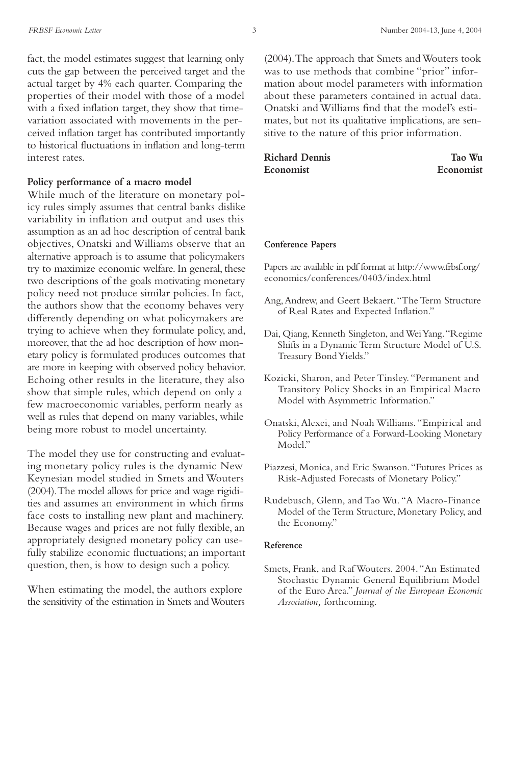fact, the model estimates suggest that learning only cuts the gap between the perceived target and the actual target by 4% each quarter. Comparing the properties of their model with those of a model with a fixed inflation target, they show that timevariation associated with movements in the perceived inflation target has contributed importantly to historical fluctuations in inflation and long-term interest rates.

#### **Policy performance of a macro model**

While much of the literature on monetary policy rules simply assumes that central banks dislike variability in inflation and output and uses this assumption as an ad hoc description of central bank objectives, Onatski and Williams observe that an alternative approach is to assume that policymakers try to maximize economic welfare. In general, these two descriptions of the goals motivating monetary policy need not produce similar policies. In fact, the authors show that the economy behaves very differently depending on what policymakers are trying to achieve when they formulate policy, and, moreover, that the ad hoc description of how monetary policy is formulated produces outcomes that are more in keeping with observed policy behavior. Echoing other results in the literature, they also show that simple rules, which depend on only a few macroeconomic variables, perform nearly as well as rules that depend on many variables, while being more robust to model uncertainty.

The model they use for constructing and evaluating monetary policy rules is the dynamic New Keynesian model studied in Smets and Wouters (2004).The model allows for price and wage rigidities and assumes an environment in which firms face costs to installing new plant and machinery. Because wages and prices are not fully flexible, an appropriately designed monetary policy can usefully stabilize economic fluctuations; an important question, then, is how to design such a policy.

When estimating the model, the authors explore the sensitivity of the estimation in Smets and Wouters

(2004).The approach that Smets and Wouters took was to use methods that combine "prior" information about model parameters with information about these parameters contained in actual data. Onatski and Williams find that the model's estimates, but not its qualitative implications, are sensitive to the nature of this prior information.

| <b>Richard Dennis</b> | Tao Wu    |
|-----------------------|-----------|
| Economist             | Economist |

#### **Conference Papers**

Papers are available in pdf format at [http://www.frbsf.org/](http://www.frbsf.org/economics/conferences/0403/index.html) [economics/conferences/0403/index.html](http://www.frbsf.org/economics/conferences/0403/index.html)

- Ang,Andrew, and Geert Bekaert."The Term Structure of Real Rates and Expected Inflation."
- Dai, Qiang, Kenneth Singleton, and Wei Yang."Regime Shifts in a Dynamic Term Structure Model of U.S. Treasury Bond Yields."
- Kozicki, Sharon, and Peter Tinsley. "Permanent and Transitory Policy Shocks in an Empirical Macro Model with Asymmetric Information."
- Onatski, Alexei, and Noah Williams. "Empirical and Policy Performance of a Forward-Looking Monetary Model."
- Piazzesi, Monica, and Eric Swanson."Futures Prices as Risk-Adjusted Forecasts of Monetary Policy."
- Rudebusch, Glenn, and Tao Wu. "A Macro-Finance Model of the Term Structure, Monetary Policy, and the Economy."

#### **Reference**

Smets, Frank, and Raf Wouters. 2004."An Estimated Stochastic Dynamic General Equilibrium Model of the Euro Area." *Journal of the European Economic Association,* forthcoming.